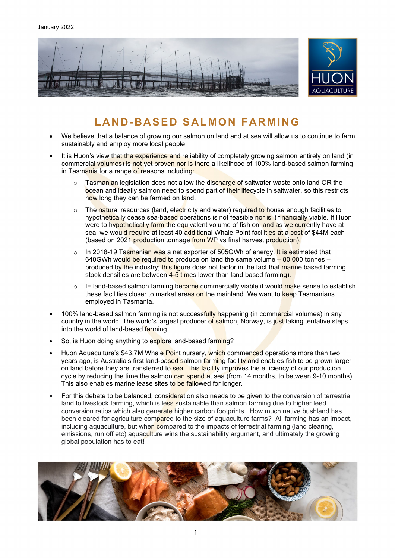

# **LAND-BASED SALMON FARMING**

- We believe that a balance of growing our salmon on land and at sea will allow us to continue to farm sustainably and employ more local people.
- It is Huon's view that the experience and reliability of completely growing salmon entirely on land (in commercial volumes) is not yet proven nor is there a likelihood of 100% land-based salmon farming in Tasmania for a range of reasons including:
	- $\circ$  Tasmanian legislation does not allow the discharge of saltwater waste onto land OR the ocean and ideally salmon need to spend part of their lifecycle in saltwater, so this restricts how long they can be farmed on land.
	- o The natural resources (land, electricity and water) required to house enough facilities to hypothetically cease sea-based operations is not feasible nor is it financially viable. If Huon were to hypothetically farm the equivalent volume of fish on land as we currently have at sea, we would require at least 40 additional Whale Point facilities at a cost of \$44M each (based on 2021 production tonnage from WP vs final harvest production).
	- o In 2018-19 Tasmanian was a net exporter of 505GWh of energy. It is estimated that 640GWh would be required to produce on land the same volume - 80,000 tonnes produced by the industry; this figure does not factor in the fact that marine based farming stock densities are between 4-5 times lower than land based farming).
	- $\circ$  IF land-based salmon farming became commercially viable it would make sense to establish these facilities closer to market areas on the mainland. We want to keep Tasmanians employed in Tasmania.
- 100% land-based salmon farming is not successfully happening (in commercial volumes) in any country in the world. The world's largest producer of salmon, Norway, is just taking tentative steps into the world of land-based farming.
- So, is Huon doing anything to explore land-based farming?
- Huon Aquaculture's \$43.7M Whale Point nursery, which commenced operations more than two years ago, is Australia's first land-based salmon farming facility and enables fish to be grown larger on land before they are transferred to sea. This facility improves the efficiency of our production cycle by reducing the time the salmon can spend at sea (from 14 months, to between 9-10 months). This also enables marine lease sites to be fallowed for longer.
- For this debate to be balanced, consideration also needs to be given to the conversion of terrestrial land to livestock farming, which is less sustainable than salmon farming due to higher feed conversion ratios which also generate higher carbon footprints. How much native bushland has been cleared for agriculture compared to the size of aquaculture farms? All farming has an impact, including aquaculture, but when compared to the impacts of terrestrial farming (land clearing, emissions, run off etc) aquaculture wins the sustainability argument, and ultimately the growing global population has to eat!

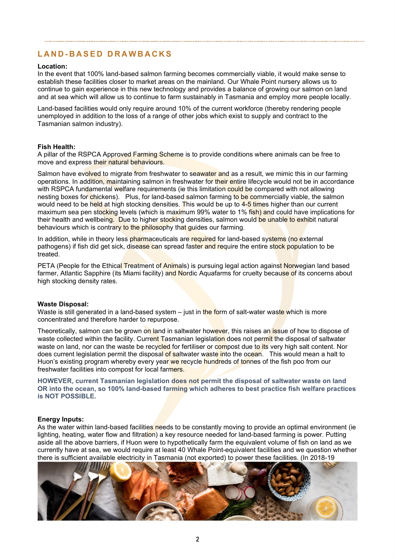# **LAND - BASED DRAWBACKS**

### **Location:**

In the event that 100% land-based salmon farming becomes commercially viable, it would make sense to establish these facilities closer to market areas on the mainland. Our Whale Point nursery allows us to continue to gain experience in this new technology and provides a balance of growing our salmon on land and at sea which will allow us to continue to farm sustainably in Tasmania and employ more people locally.

Land-based facilities would only require around 10% of the current workforce (thereby rendering people unemployed in addition to the loss of a range of other jobs which exist to supply and contract to the Tasmanian salmon industry).

### **Fish Health:**

A pillar of the RSPCA Approved Farming Scheme is to provide conditions where animals can be free to move and express their natural behaviours.

Salmon have evolved to migrate from freshwater to seawater and as a result, we mimic this in our farming operations. In addition, maintaining salmon in freshwater for their entire lifecycle would not be in accordance with RSPCA fundamental welfare requirements (ie this limitation could be compared with not allowing nesting boxes for chickens). Plus, for land-based salmon farming to be commercially viable, the salmon would need to be held at high stocking densities. This would be up to 4-5 times higher than our current maximum sea pen stocking levels (which is maximum 99% water to 1% fish) and could have implications for their health and wellbeing. Due to higher stocking densities, salmon would be unable to exhibit natural behaviours which is contrary to the philosophy that quides our farming.

In addition, while in theory less pharmaceuticals are required for land-based systems (no external pathogens) if fish did get sick, disease can spread faster and require the entire stock population to be treated.

PETA (People for the Ethical Treatment of Animals) is pursuing legal action against Norwegian land based farmer, Atlantic Sapphire (its Miami facility) and Nordic Aquafarms for cruelty because of its concerns about high stocking density rates.

#### **Waste Disposal:**

Waste is still generated in a land-based system – just in the form of salt-water waste which is more concentrated and therefore harder to repurpose.

Theoretically, salmon can be grown on land in saltwater however, this raises an issue of how to dispose of waste collected within the facility. Current Tasmanian legislation does not permit the disposal of saltwater waste on land, nor can the waste be recycled for fertiliser or compost due to its very high salt content. Nor does current legislation permit the disposal of saltwater waste into the ocean. This would mean a halt to Huon's existing program whereby every year we recycle hundreds of tonnes of the fish poo from our freshwater facilities into compost for local farmers.

**HOWEVER, current Tasmanian legislation does not permit the disposal of saltwater waste on land OR into the ocean, so 100% land-based farming which adheres to best practice fish welfare practices is NOT POSSIBLE.** 

#### **Energy Inputs:**

As the water within land-based facilities needs to be constantly moving to provide an optimal environment (ie lighting, heating, water flow and filtration) a key resource needed for land-based farming is power. Putting aside all the above barriers, if Huon were to hypothetically farm the equivalent volume of fish on land as we currently have at sea, we would require at least 40 Whale Point-equivalent facilities and we question whether there is sufficient available electricity in Tasmania (not exported) to power these facilities. (In 2018-19